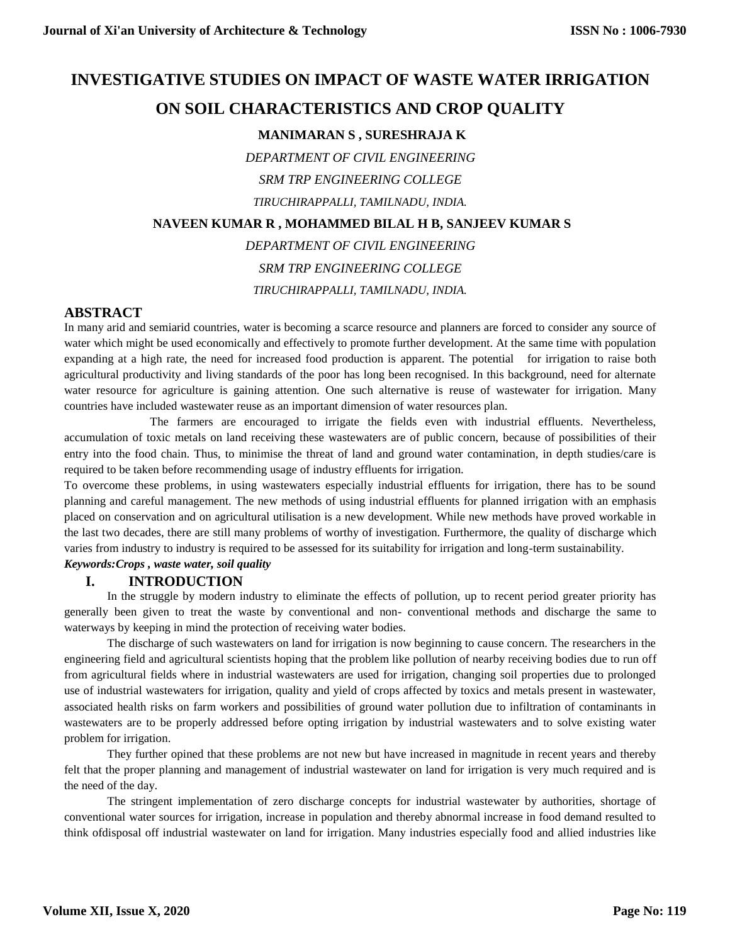# **INVESTIGATIVE STUDIES ON IMPACT OF WASTE WATER IRRIGATION**

## **ON SOIL CHARACTERISTICS AND CROP QUALITY**

## **MANIMARAN S , SURESHRAJA K**

*DEPARTMENT OF CIVIL ENGINEERING*

*SRM TRP ENGINEERING COLLEGE*

*TIRUCHIRAPPALLI, TAMILNADU, INDIA.*

## **NAVEEN KUMAR R , MOHAMMED BILAL H B, SANJEEV KUMAR S**

*DEPARTMENT OF CIVIL ENGINEERING*

*SRM TRP ENGINEERING COLLEGE*

*TIRUCHIRAPPALLI, TAMILNADU, INDIA.*

## **ABSTRACT**

In many arid and semiarid countries, water is becoming a scarce resource and planners are forced to consider any source of water which might be used economically and effectively to promote further development. At the same time with population expanding at a high rate, the need for increased food production is apparent. The potential for irrigation to raise both agricultural productivity and living standards of the poor has long been recognised. In this background, need for alternate water resource for agriculture is gaining attention. One such alternative is reuse of wastewater for irrigation. Many countries have included wastewater reuse as an important dimension of water resources plan.

The farmers are encouraged to irrigate the fields even with industrial effluents. Nevertheless, accumulation of toxic metals on land receiving these wastewaters are of public concern, because of possibilities of their entry into the food chain. Thus, to minimise the threat of land and ground water contamination, in depth studies/care is required to be taken before recommending usage of industry effluents for irrigation.

To overcome these problems, in using wastewaters especially industrial effluents for irrigation, there has to be sound planning and careful management. The new methods of using industrial effluents for planned irrigation with an emphasis placed on conservation and on agricultural utilisation is a new development. While new methods have proved workable in the last two decades, there are still many problems of worthy of investigation. Furthermore, the quality of discharge which varies from industry to industry is required to be assessed for its suitability for irrigation and long-term sustainability.

## *Keywords:Crops , waste water, soil quality*

## **I. INTRODUCTION**

In the struggle by modern industry to eliminate the effects of pollution, up to recent period greater priority has generally been given to treat the waste by conventional and non- conventional methods and discharge the same to waterways by keeping in mind the protection of receiving water bodies.

The discharge of such wastewaters on land for irrigation is now beginning to cause concern. The researchers in the engineering field and agricultural scientists hoping that the problem like pollution of nearby receiving bodies due to run off from agricultural fields where in industrial wastewaters are used for irrigation, changing soil properties due to prolonged use of industrial wastewaters for irrigation, quality and yield of crops affected by toxics and metals present in wastewater, associated health risks on farm workers and possibilities of ground water pollution due to infiltration of contaminants in wastewaters are to be properly addressed before opting irrigation by industrial wastewaters and to solve existing water problem for irrigation.

They further opined that these problems are not new but have increased in magnitude in recent years and thereby felt that the proper planning and management of industrial wastewater on land for irrigation is very much required and is the need of the day.

The stringent implementation of zero discharge concepts for industrial wastewater by authorities, shortage of conventional water sources for irrigation, increase in population and thereby abnormal increase in food demand resulted to think ofdisposal off industrial wastewater on land for irrigation. Many industries especially food and allied industries like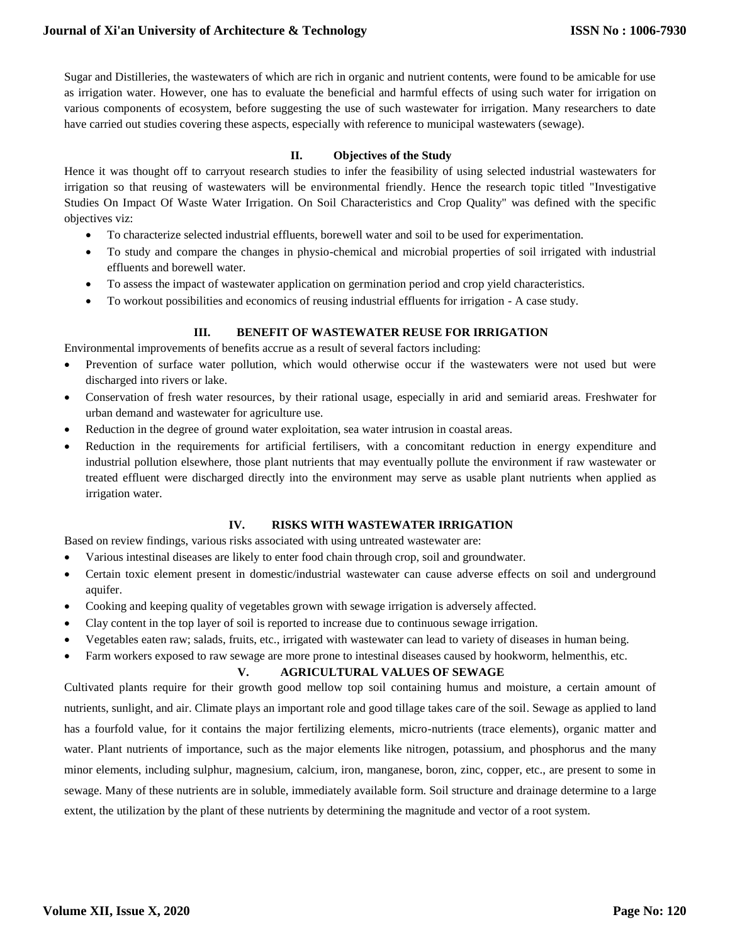Sugar and Distilleries, the wastewaters of which are rich in organic and nutrient contents, were found to be amicable for use as irrigation water. However, one has to evaluate the beneficial and harmful effects of using such water for irrigation on various components of ecosystem, before suggesting the use of such wastewater for irrigation. Many researchers to date have carried out studies covering these aspects, especially with reference to municipal wastewaters (sewage).

#### **II. Objectives of the Study**

Hence it was thought off to carryout research studies to infer the feasibility of using selected industrial wastewaters for irrigation so that reusing of wastewaters will be environmental friendly. Hence the research topic titled "Investigative Studies On Impact Of Waste Water Irrigation. On Soil Characteristics and Crop Quality" was defined with the specific objectives viz:

- To characterize selected industrial effluents, borewell water and soil to be used for experimentation.
- To study and compare the changes in physio-chemical and microbial properties of soil irrigated with industrial effluents and borewell water.
- To assess the impact of wastewater application on germination period and crop yield characteristics.
- To workout possibilities and economics of reusing industrial effluents for irrigation A case study.

#### **III. BENEFIT OF WASTEWATER REUSE FOR IRRIGATION**

Environmental improvements of benefits accrue as a result of several factors including:

- Prevention of surface water pollution, which would otherwise occur if the wastewaters were not used but were discharged into rivers or lake.
- Conservation of fresh water resources, by their rational usage, especially in arid and semiarid areas. Freshwater for urban demand and wastewater for agriculture use.
- Reduction in the degree of ground water exploitation, sea water intrusion in coastal areas.
- Reduction in the requirements for artificial fertilisers, with a concomitant reduction in energy expenditure and industrial pollution elsewhere, those plant nutrients that may eventually pollute the environment if raw wastewater or treated effluent were discharged directly into the environment may serve as usable plant nutrients when applied as irrigation water.

#### **IV. RISKS WITH WASTEWATER IRRIGATION**

Based on review findings, various risks associated with using untreated wastewater are:

- Various intestinal diseases are likely to enter food chain through crop, soil and groundwater.
- Certain toxic element present in domestic/industrial wastewater can cause adverse effects on soil and underground aquifer.
- Cooking and keeping quality of vegetables grown with sewage irrigation is adversely affected.
- Clay content in the top layer of soil is reported to increase due to continuous sewage irrigation.
- Vegetables eaten raw; salads, fruits, etc., irrigated with wastewater can lead to variety of diseases in human being.
- Farm workers exposed to raw sewage are more prone to intestinal diseases caused by hookworm, helmenthis, etc.

#### **V. AGRICULTURAL VALUES OF SEWAGE**

Cultivated plants require for their growth good mellow top soil containing humus and moisture, a certain amount of nutrients, sunlight, and air. Climate plays an important role and good tillage takes care of the soil. Sewage as applied to land has a fourfold value, for it contains the major fertilizing elements, micro-nutrients (trace elements), organic matter and water. Plant nutrients of importance, such as the major elements like nitrogen, potassium, and phosphorus and the many minor elements, including sulphur, magnesium, calcium, iron, manganese, boron, zinc, copper, etc., are present to some in sewage. Many of these nutrients are in soluble, immediately available form. Soil structure and drainage determine to a large extent, the utilization by the plant of these nutrients by determining the magnitude and vector of a root system.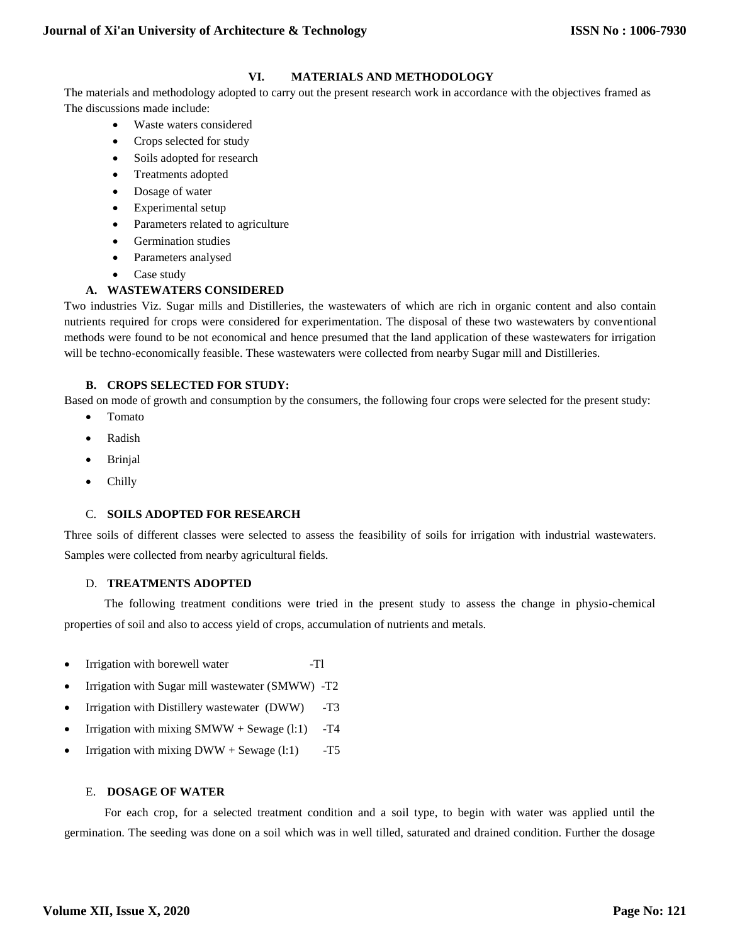### **VI. MATERIALS AND METHODOLOGY**

The materials and methodology adopted to carry out the present research work in accordance with the objectives framed as The discussions made include:

- Waste waters considered
- Crops selected for study
- Soils adopted for research
- Treatments adopted
- Dosage of water
- Experimental setup
- Parameters related to agriculture
- Germination studies
- Parameters analysed
- Case study

#### **A. WASTEWATERS CONSIDERED**

Two industries Viz. Sugar mills and Distilleries, the wastewaters of which are rich in organic content and also contain nutrients required for crops were considered for experimentation. The disposal of these two wastewaters by conventional methods were found to be not economical and hence presumed that the land application of these wastewaters for irrigation will be techno-economically feasible. These wastewaters were collected from nearby Sugar mill and Distilleries.

#### **B. CROPS SELECTED FOR STUDY:**

Based on mode of growth and consumption by the consumers, the following four crops were selected for the present study:

- Tomato
- Radish
- Brinjal
- Chilly

#### C. **SOILS ADOPTED FOR RESEARCH**

Three soils of different classes were selected to assess the feasibility of soils for irrigation with industrial wastewaters. Samples were collected from nearby agricultural fields.

#### D. **TREATMENTS ADOPTED**

The following treatment conditions were tried in the present study to assess the change in physio-chemical properties of soil and also to access yield of crops, accumulation of nutrients and metals.

- Irrigation with borewell water -Tl
- Irrigation with Sugar mill wastewater (SMWW) -T2
- Irrigation with Distillery wastewater (DWW) -T3
- Irrigation with mixing  $SMWW + S$ ewage (l:1) -T4
- Irrigation with mixing  $DWW + \text{Sewage (l:1)}$  -T5

#### E. **DOSAGE OF WATER**

For each crop, for a selected treatment condition and a soil type, to begin with water was applied until the germination. The seeding was done on a soil which was in well tilled, saturated and drained condition. Further the dosage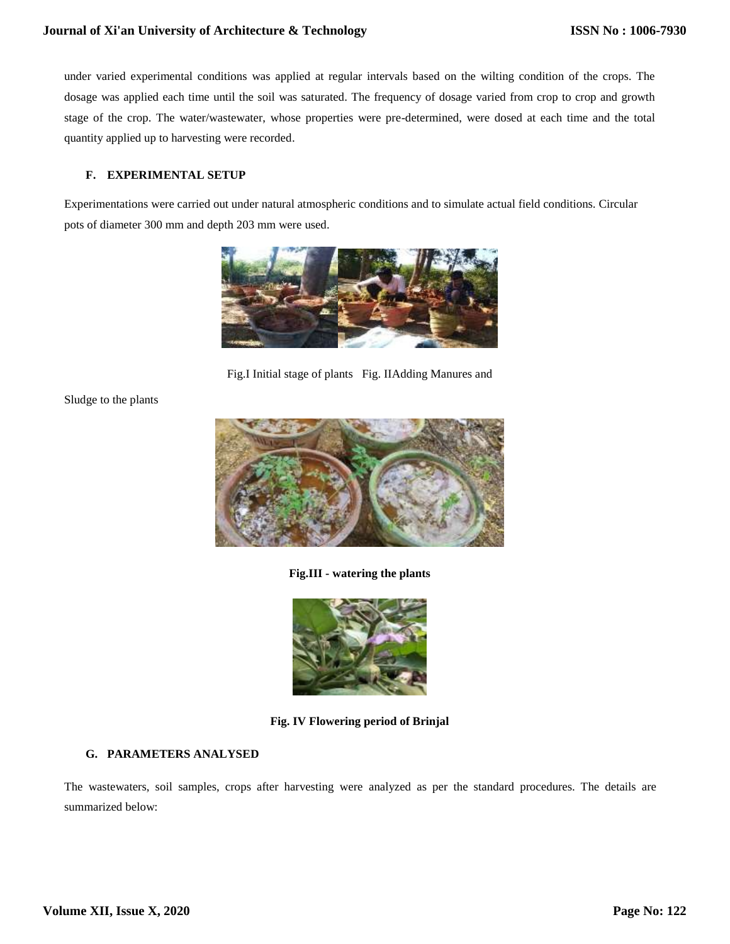under varied experimental conditions was applied at regular intervals based on the wilting condition of the crops. The dosage was applied each time until the soil was saturated. The frequency of dosage varied from crop to crop and growth stage of the crop. The water/wastewater, whose properties were pre-determined, were dosed at each time and the total quantity applied up to harvesting were recorded.

#### **F. EXPERIMENTAL SETUP**

Experimentations were carried out under natural atmospheric conditions and to simulate actual field conditions. Circular pots of diameter 300 mm and depth 203 mm were used.



Fig.I Initial stage of plants Fig. IIAdding Manures and

Sludge to the plants



**Fig.III - watering the plants**



**Fig. IV Flowering period of Brinjal**

## **G. PARAMETERS ANALYSED**

The wastewaters, soil samples, crops after harvesting were analyzed as per the standard procedures. The details are summarized below: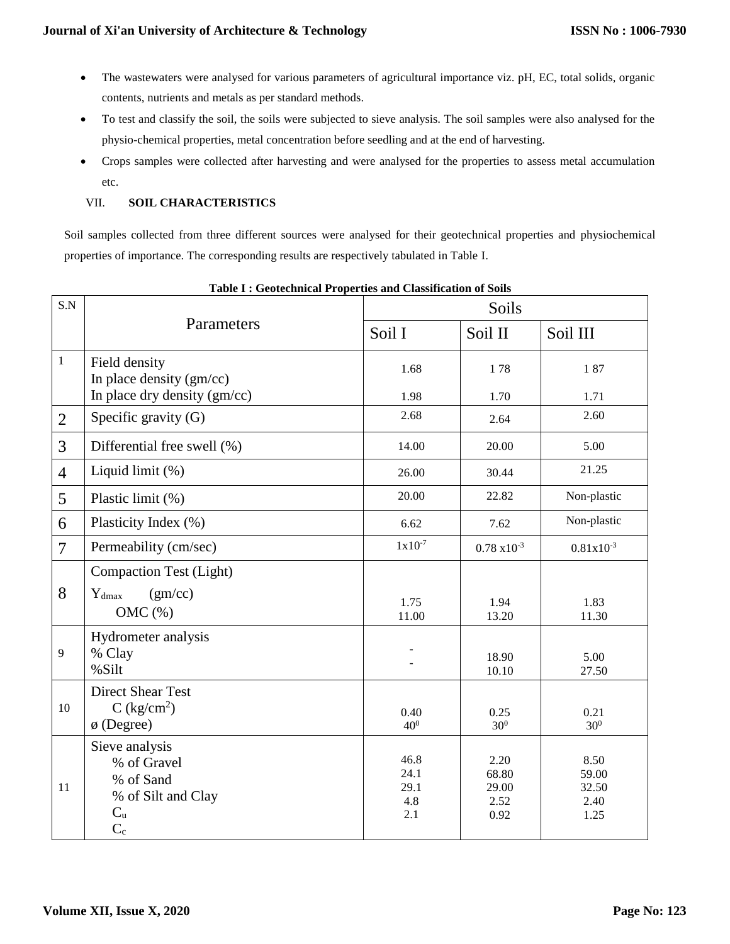- The wastewaters were analysed for various parameters of agricultural importance viz. pH, EC, total solids, organic contents, nutrients and metals as per standard methods.
- To test and classify the soil, the soils were subjected to sieve analysis. The soil samples were also analysed for the physio-chemical properties, metal concentration before seedling and at the end of harvesting.
- Crops samples were collected after harvesting and were analysed for the properties to assess metal accumulation etc.

## VII. **SOIL CHARACTERISTICS**

Soil samples collected from three different sources were analysed for their geotechnical properties and physiochemical properties of importance. The corresponding results are respectively tabulated in Table I.

| S.N            |                                                                                            | Soils                              |                                        |                                        |
|----------------|--------------------------------------------------------------------------------------------|------------------------------------|----------------------------------------|----------------------------------------|
|                | Parameters                                                                                 | Soil I                             | Soil II                                | Soil III                               |
| $\mathbf{1}$   | Field density<br>In place density (gm/cc)                                                  | 1.68                               | 178                                    | 187                                    |
|                | In place dry density (gm/cc)                                                               | 1.98                               | 1.70                                   | 1.71                                   |
| $\overline{2}$ | Specific gravity (G)                                                                       | 2.68                               | 2.64                                   | 2.60                                   |
| 3              | Differential free swell (%)                                                                | 14.00                              | 20.00                                  | 5.00                                   |
| $\overline{4}$ | Liquid limit (%)                                                                           | 26.00                              | 30.44                                  | 21.25                                  |
| 5              | Plastic limit (%)                                                                          | 20.00                              | 22.82                                  | Non-plastic                            |
| 6              | Plasticity Index (%)                                                                       | 6.62                               | 7.62                                   | Non-plastic                            |
| $\overline{7}$ | Permeability (cm/sec)                                                                      | $1x10^{-7}$                        | $0.78 \times 10^{-3}$                  | $0.81x10^{-3}$                         |
|                | <b>Compaction Test (Light)</b>                                                             |                                    |                                        |                                        |
| 8              | (gm/cc)<br>$Y_{dmax}$<br>OMC(%)                                                            | 1.75<br>11.00                      | 1.94<br>13.20                          | 1.83<br>11.30                          |
| 9              | Hydrometer analysis<br>% Clay<br>%Silt                                                     |                                    | 18.90<br>10.10                         | 5.00<br>27.50                          |
| 10             | <b>Direct Shear Test</b><br>C (kg/cm <sup>2</sup> )<br>$\phi$ (Degree)                     | 0.40<br>40 <sup>0</sup>            | 0.25<br>30 <sup>0</sup>                | 0.21<br>30 <sup>0</sup>                |
| 11             | Sieve analysis<br>% of Gravel<br>% of Sand<br>% of Silt and Clay<br>$C_{\rm u}$<br>$C_{c}$ | 46.8<br>24.1<br>29.1<br>4.8<br>2.1 | 2.20<br>68.80<br>29.00<br>2.52<br>0.92 | 8.50<br>59.00<br>32.50<br>2.40<br>1.25 |

**Table I : Geotechnical Properties and Classification of Soils**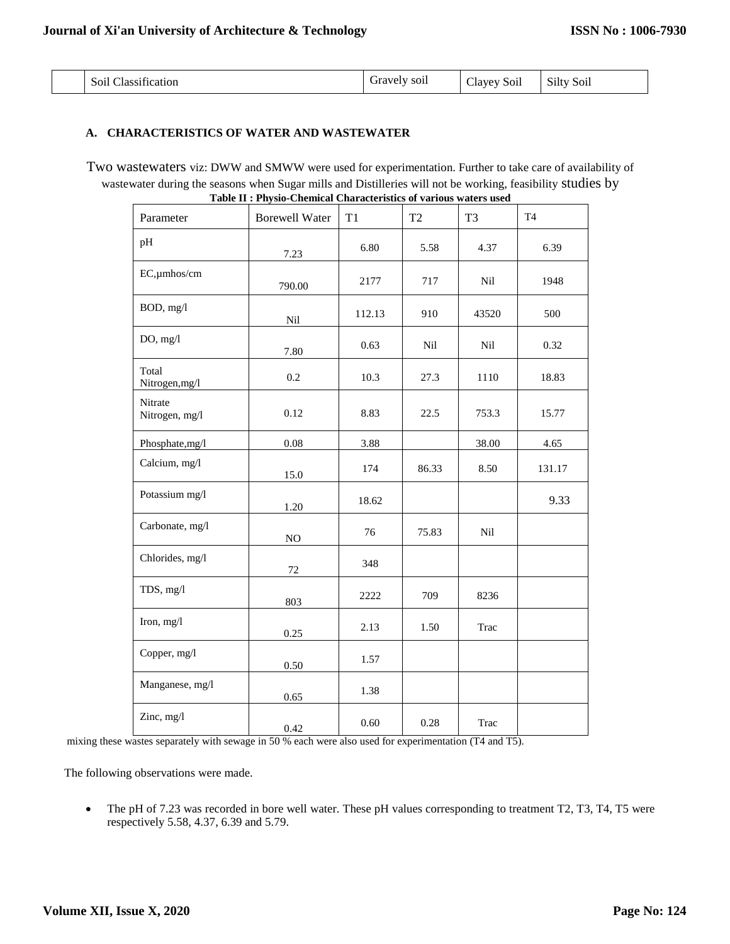| $\sim$ $\sim$<br>$\cdot$ $\sim$ $\cdot$<br>Soil (<br>Classification | Gravely soil | Clayey Soil | Silty<br>Soil |
|---------------------------------------------------------------------|--------------|-------------|---------------|
|                                                                     |              |             |               |

#### **A. CHARACTERISTICS OF WATER AND WASTEWATER**

Two wastewaters viz: DWW and SMWW were used for experimentation. Further to take care of availability of wastewater during the seasons when Sugar mills and Distilleries will not be working, feasibility studies by **Table II : Physio-Chemical Characteristics of various waters used**

| Parameter                 | radio 11 ; i hydro Unenhear Unaracteridies or various waters ascu<br><b>Borewell Water</b> | T1     | T <sub>2</sub> | T <sub>3</sub> | T <sub>4</sub> |
|---------------------------|--------------------------------------------------------------------------------------------|--------|----------------|----------------|----------------|
| pH                        | 7.23                                                                                       | 6.80   | 5.58           | 4.37           | 6.39           |
| EC,umhos/cm               | 790.00                                                                                     | 2177   | 717            | Nil            | 1948           |
| BOD, mg/l                 | Nil                                                                                        | 112.13 | 910            | 43520          | 500            |
| DO, mg/l                  | 7.80                                                                                       | 0.63   | Nil            | Nil            | 0.32           |
| Total<br>Nitrogen, mg/l   | 0.2                                                                                        | 10.3   | 27.3           | 1110           | 18.83          |
| Nitrate<br>Nitrogen, mg/l | 0.12                                                                                       | 8.83   | 22.5           | 753.3          | 15.77          |
| Phosphate,mg/l            | 0.08                                                                                       | 3.88   |                | 38.00          | 4.65           |
| Calcium, mg/l             | 15.0                                                                                       | 174    | 86.33          | 8.50           | 131.17         |
| Potassium mg/l            | 1.20                                                                                       | 18.62  |                |                | 9.33           |
| Carbonate, mg/l           | NO                                                                                         | 76     | 75.83          | Nil            |                |
| Chlorides, mg/l           | 72                                                                                         | 348    |                |                |                |
| TDS, mg/l                 | 803                                                                                        | 2222   | 709            | 8236           |                |
| Iron, mg/l                | 0.25                                                                                       | 2.13   | 1.50           | Trac           |                |
| Copper, mg/l              | 0.50                                                                                       | 1.57   |                |                |                |
| Manganese, mg/l           | 0.65                                                                                       | 1.38   |                |                |                |
| Zinc, mg/l                | 0.42                                                                                       | 0.60   | 0.28           | Trac           |                |

mixing these wastes separately with sewage in 50 % each were also used for experimentation (T4 and T5).

The following observations were made.

 The pH of 7.23 was recorded in bore well water. These pH values corresponding to treatment T2, T3, T4, T5 were respectively 5.58, 4.37, 6.39 and 5.79.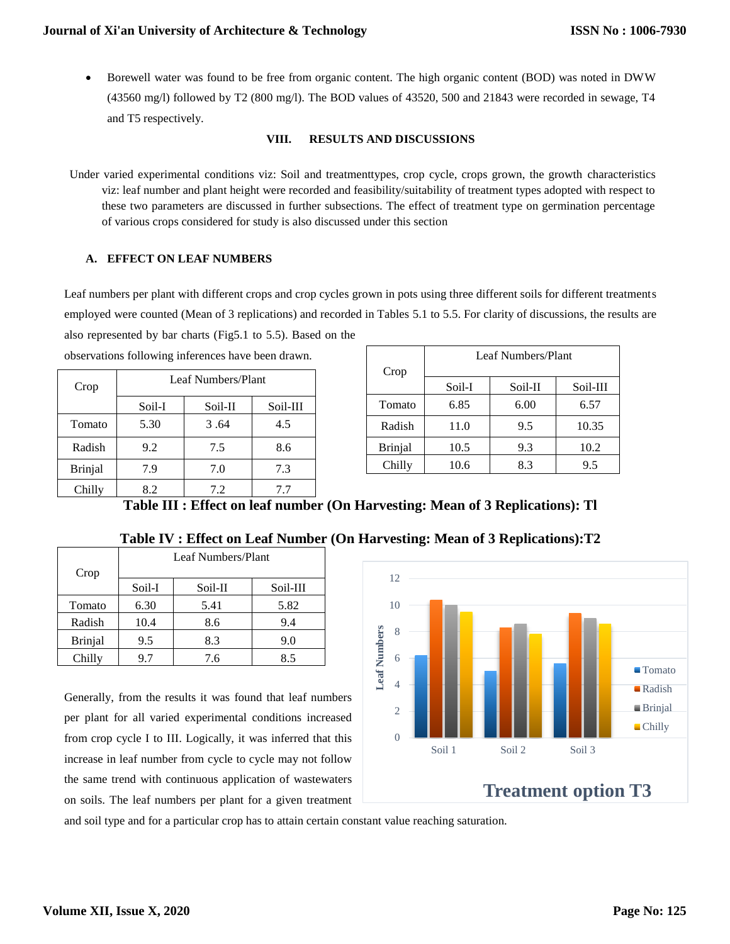Borewell water was found to be free from organic content. The high organic content (BOD) was noted in DWW (43560 mg/l) followed by T2 (800 mg/l). The BOD values of 43520, 500 and 21843 were recorded in sewage, T4 and T5 respectively.

#### **VIII. RESULTS AND DISCUSSIONS**

Under varied experimental conditions viz: Soil and treatmenttypes, crop cycle, crops grown, the growth characteristics viz: leaf number and plant height were recorded and feasibility/suitability of treatment types adopted with respect to these two parameters are discussed in further subsections. The effect of treatment type on germination percentage of various crops considered for study is also discussed under this section

#### **A. EFFECT ON LEAF NUMBERS**

Leaf numbers per plant with different crops and crop cycles grown in pots using three different soils for different treatments employed were counted (Mean of 3 replications) and recorded in Tables 5.1 to 5.5. For clarity of discussions, the results are also represented by bar charts (Fig5.1 to 5.5). Based on the

| observations following inferences have been drawn. |                    |         |          |  |
|----------------------------------------------------|--------------------|---------|----------|--|
| Crop                                               | Leaf Numbers/Plant |         |          |  |
|                                                    | Soil-I             | Soil-II | Soil-III |  |
| Tomato                                             | 5.30               | 3.64    | 4.5      |  |
| Radish                                             | 9.2                | 7.5     | 8.6      |  |
| <b>Brinjal</b>                                     | 7.9                | 7.0     | 7.3      |  |
| Chilly                                             | 8.2                | 7.2     | 7.7      |  |

| Crop           | Leaf Numbers/Plant |         |          |  |
|----------------|--------------------|---------|----------|--|
|                | Soil-I             | Soil-II | Soil-III |  |
| Tomato         | 6.85               | 6.00    | 6.57     |  |
| Radish         | 11.0               | 9.5     | 10.35    |  |
| <b>Brinjal</b> | 10.5               | 9.3     | 10.2     |  |
| Chilly         | 10.6               | 8.3     | 9.5      |  |

**Table III : Effect on leaf number (On Harvesting: Mean of 3 Replications): Tl**

| Crop           | Leaf Numbers/Plant |         |          |  |
|----------------|--------------------|---------|----------|--|
|                | Soil-I             | Soil-II | Soil-III |  |
| Tomato         | 6.30               | 5.41    | 5.82     |  |
| Radish         | 10.4               | 8.6     | 9.4      |  |
| <b>Brinjal</b> | 9.5                | 8.3     | 9.0      |  |
| Chilly         | 9.7                | 7.6     | 8.5      |  |

**Table IV : Effect on Leaf Number (On Harvesting: Mean of 3 Replications):T2**

12



Generally, from the results it was found that leaf numbers per plant for all varied experimental conditions increased from crop cycle I to III. Logically, it was inferred that this increase in leaf number from cycle to cycle may not follow the same trend with continuous application of wastewaters on soils. The leaf numbers per plant for a given treatment

and soil type and for a particular crop has to attain certain constant value reaching saturation.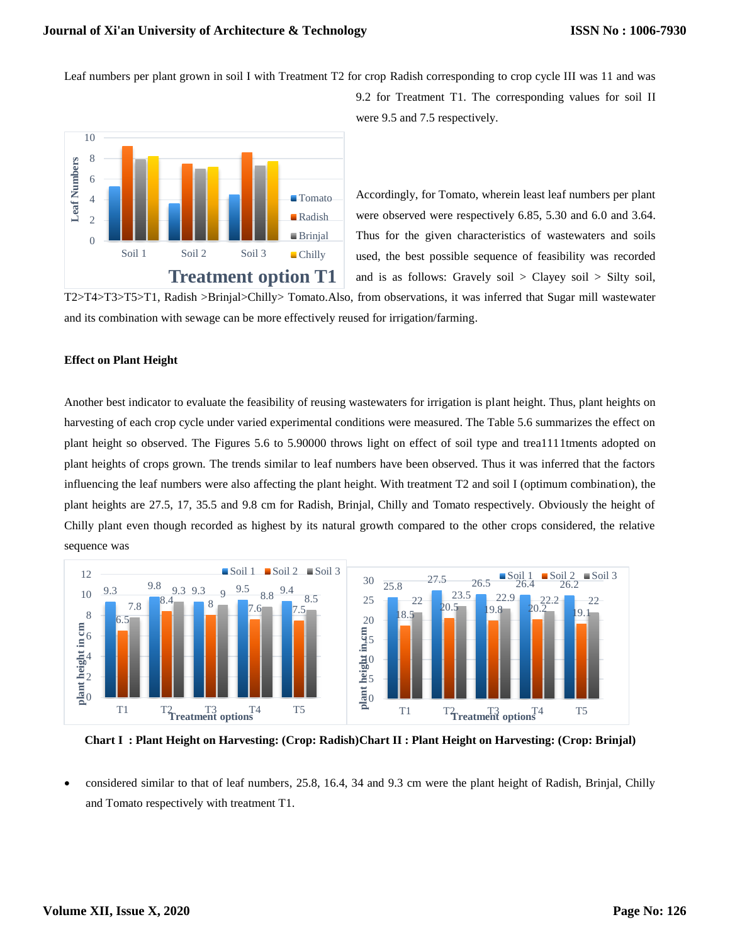Leaf numbers per plant grown in soil I with Treatment T2 for crop Radish corresponding to crop cycle III was 11 and was



9.2 for Treatment T1. The corresponding values for soil II were 9.5 and 7.5 respectively.

Accordingly, for Tomato, wherein least leaf numbers per plant were observed were respectively 6.85, 5.30 and 6.0 and 3.64. Thus for the given characteristics of wastewaters and soils used, the best possible sequence of feasibility was recorded and is as follows: Gravely soil  $>$  Clayey soil  $>$  Silty soil,

T2>T4>T3>T5>T1, Radish >Brinjal>Chilly> Tomato.Also, from observations, it was inferred that Sugar mill wastewater and its combination with sewage can be more effectively reused for irrigation/farming.

#### **Effect on Plant Height**

Another best indicator to evaluate the feasibility of reusing wastewaters for irrigation is plant height. Thus, plant heights on harvesting of each crop cycle under varied experimental conditions were measured. The Table 5.6 summarizes the effect on plant height so observed. The Figures 5.6 to 5.90000 throws light on effect of soil type and trea1111tments adopted on plant heights of crops grown. The trends similar to leaf numbers have been observed. Thus it was inferred that the factors influencing the leaf numbers were also affecting the plant height. With treatment T2 and soil I (optimum combination), the plant heights are 27.5, 17, 35.5 and 9.8 cm for Radish, Brinjal, Chilly and Tomato respectively. Obviously the height of Chilly plant even though recorded as highest by its natural growth compared to the other crops considered, the relative sequence was



**Chart I : Plant Height on Harvesting: (Crop: Radish)Chart II : Plant Height on Harvesting: (Crop: Brinjal)**

 considered similar to that of leaf numbers, 25.8, 16.4, 34 and 9.3 cm were the plant height of Radish, Brinjal, Chilly and Tomato respectively with treatment T1.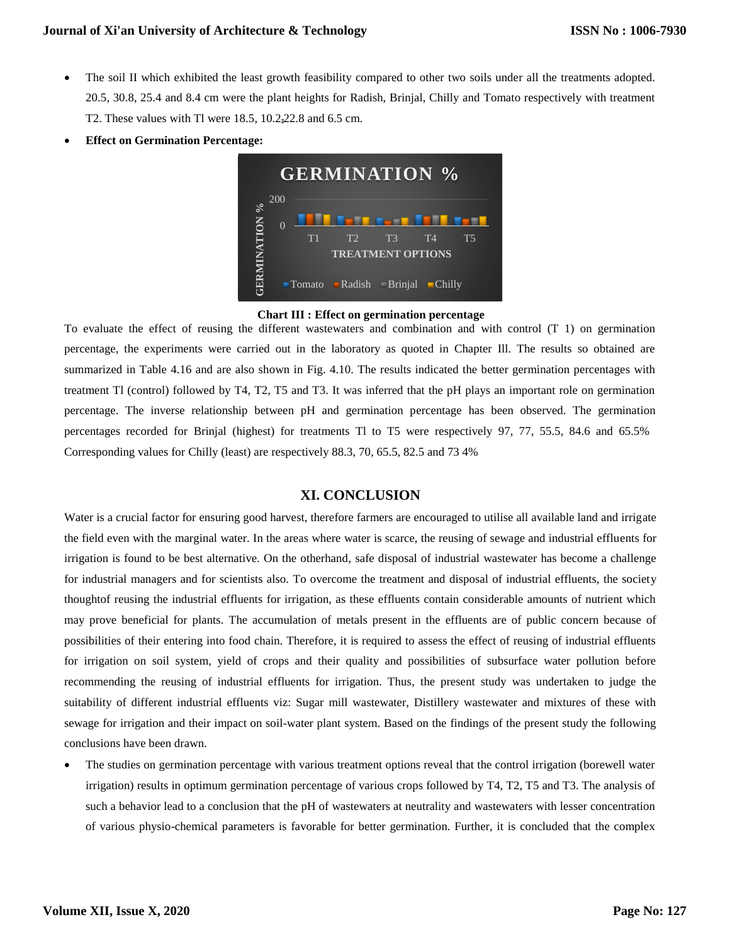- The soil II which exhibited the least growth feasibility compared to other two soils under all the treatments adopted. 20.5, 30.8, 25.4 and 8.4 cm were the plant heights for Radish, Brinjal, Chilly and Tomato respectively with treatment T2. These values with Tl were 18.5, 10.2 22.8 and 6.5 cm.
- **Effect on Germination Percentage:**



**Chart III : Effect on germination percentage**

To evaluate the effect of reusing the different wastewaters and combination and with control (T 1) on germination percentage, the experiments were carried out in the laboratory as quoted in Chapter Ill. The results so obtained are summarized in Table 4.16 and are also shown in Fig. 4.10. The results indicated the better germination percentages with treatment Tl (control) followed by T4, T2, T5 and T3. It was inferred that the pH plays an important role on germination percentage. The inverse relationship between pH and germination percentage has been observed. The germination percentages recorded for Brinjal (highest) for treatments Tl to T5 were respectively 97, 77, 55.5, 84.6 and 65.5% Corresponding values for Chilly (least) are respectively 88.3, 70, 65.5, 82.5 and 73 4%

## **XI. CONCLUSION**

Water is a crucial factor for ensuring good harvest, therefore farmers are encouraged to utilise all available land and irrigate the field even with the marginal water. In the areas where water is scarce, the reusing of sewage and industrial effluents for irrigation is found to be best alternative. On the otherhand, safe disposal of industrial wastewater has become a challenge for industrial managers and for scientists also. To overcome the treatment and disposal of industrial effluents, the society thoughtof reusing the industrial effluents for irrigation, as these effluents contain considerable amounts of nutrient which may prove beneficial for plants. The accumulation of metals present in the effluents are of public concern because of possibilities of their entering into food chain. Therefore, it is required to assess the effect of reusing of industrial effluents for irrigation on soil system, yield of crops and their quality and possibilities of subsurface water pollution before recommending the reusing of industrial effluents for irrigation. Thus, the present study was undertaken to judge the suitability of different industrial effluents viz: Sugar mill wastewater, Distillery wastewater and mixtures of these with sewage for irrigation and their impact on soil-water plant system. Based on the findings of the present study the following conclusions have been drawn.

 The studies on germination percentage with various treatment options reveal that the control irrigation (borewell water irrigation) results in optimum germination percentage of various crops followed by T4, T2, T5 and T3. The analysis of such a behavior lead to a conclusion that the pH of wastewaters at neutrality and wastewaters with lesser concentration of various physio-chemical parameters is favorable for better germination. Further, it is concluded that the complex